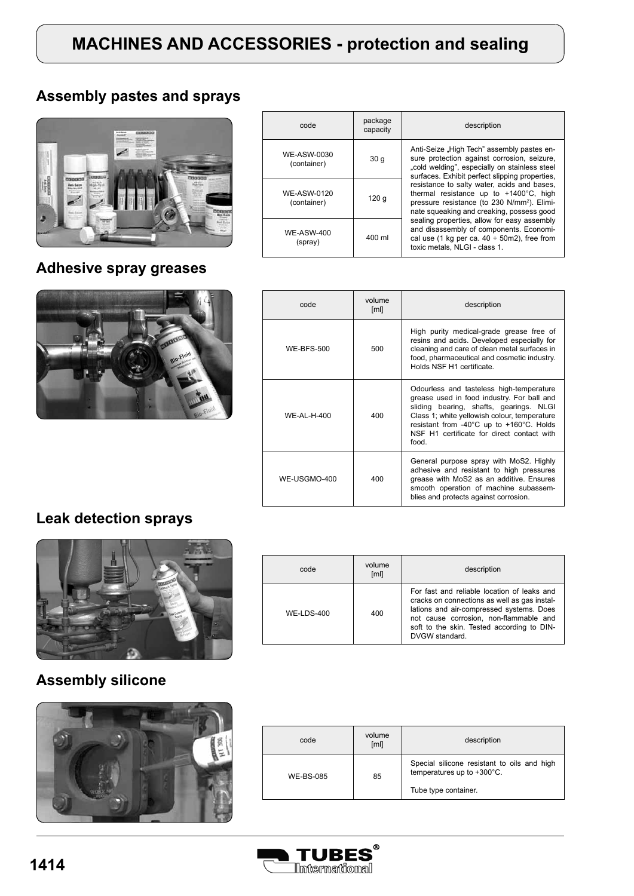# **MACHINES AND ACCESSORIES - protection and sealing**

#### **Assembly pastes and sprays**



## **Adhesive spray greases**



| code                              | package<br>capacity | description                                                                                                                                                                                                                                                                                                                                                                                                                                                                                                                                                                   |
|-----------------------------------|---------------------|-------------------------------------------------------------------------------------------------------------------------------------------------------------------------------------------------------------------------------------------------------------------------------------------------------------------------------------------------------------------------------------------------------------------------------------------------------------------------------------------------------------------------------------------------------------------------------|
| WE-ASW-0030<br>(container)        | 30q                 | Anti-Seize "High Tech" assembly pastes en-<br>sure protection against corrosion, seizure,<br>"cold welding", especially on stainless steel<br>surfaces. Exhibit perfect slipping properties,<br>resistance to salty water, acids and bases,<br>thermal resistance up to +1400°C, high<br>pressure resistance (to 230 N/mm <sup>2</sup> ). Elimi-<br>nate squeaking and creaking, possess good<br>sealing properties, allow for easy assembly<br>and disassembly of components. Economi-<br>cal use (1 kg per ca. $40 \div 50$ m2), free from<br>toxic metals. NLGI - class 1. |
| <b>WE-ASW-0120</b><br>(container) | 120 g               |                                                                                                                                                                                                                                                                                                                                                                                                                                                                                                                                                                               |
| <b>WE-ASW-400</b><br>(spray)      | 400 ml              |                                                                                                                                                                                                                                                                                                                                                                                                                                                                                                                                                                               |

| code              | volume<br>[ml] | description                                                                                                                                                                                                                                                                          |
|-------------------|----------------|--------------------------------------------------------------------------------------------------------------------------------------------------------------------------------------------------------------------------------------------------------------------------------------|
| <b>WE-RES-500</b> | 500            | High purity medical-grade grease free of<br>resins and acids. Developed especially for<br>cleaning and care of clean metal surfaces in<br>food, pharmaceutical and cosmetic industry.<br>Holds NSF H1 certificate.                                                                   |
| WE-AI-H-400       | 400            | Odourless and tasteless high-temperature<br>grease used in food industry. For ball and<br>sliding bearing, shafts, gearings. NLGI<br>Class 1; white yellowish colour, temperature<br>resistant from -40°C up to +160°C. Holds<br>NSF H1 certificate for direct contact with<br>food. |
| WE-USGMO-400      | 400            | General purpose spray with MoS2. Highly<br>adhesive and resistant to high pressures<br>grease with MoS2 as an additive. Ensures<br>smooth operation of machine subassem-<br>blies and protects against corrosion.                                                                    |

#### **Leak detection sprays**



#### code volume<br>
[ml] description WE-LDS-400 400 For fast and reliable location of leaks and cracks on connections as well as gas installations and air-compressed systems. Does not cause corrosion, non-flammable and soft to the skin. Tested according to DIN-DVGW standard.

## **Assembly silicone**



| code             | volume<br>[ml] | description                                                                                       |
|------------------|----------------|---------------------------------------------------------------------------------------------------|
| <b>WE-BS-085</b> | 85             | Special silicone resistant to oils and high<br>temperatures up to +300°C.<br>Tube type container. |